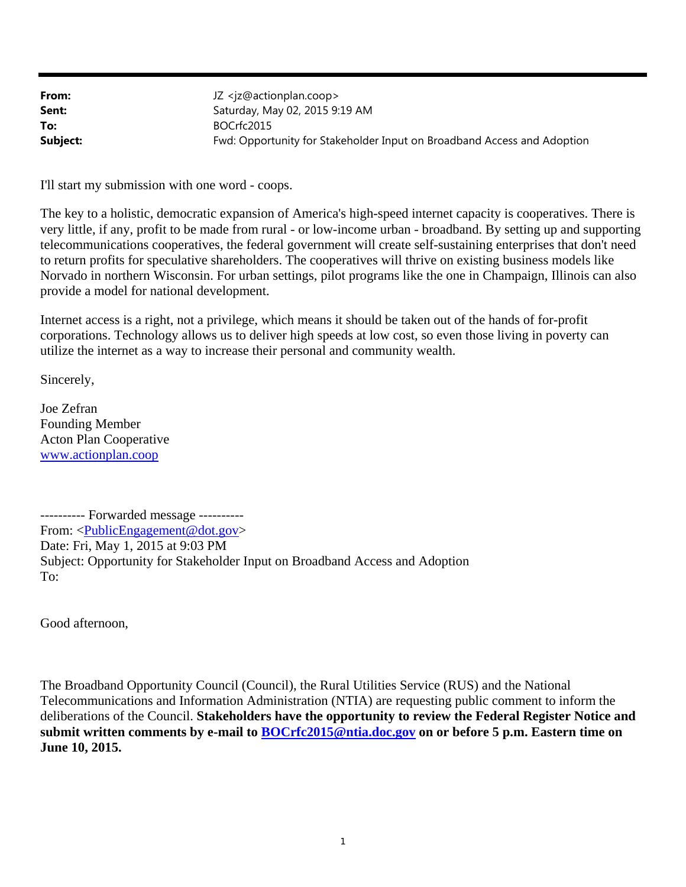| From:    | JZ <jz@actionplan.coop></jz@actionplan.coop>                            |
|----------|-------------------------------------------------------------------------|
| Sent:    | Saturday, May 02, 2015 9:19 AM                                          |
| To:      | BOCrfc2015                                                              |
| Subject: | Fwd: Opportunity for Stakeholder Input on Broadband Access and Adoption |

I'll start my submission with one word - coops.

The key to a holistic, democratic expansion of America's high-speed internet capacity is cooperatives. There is very little, if any, profit to be made from rural - or low-income urban - broadband. By setting up and supporting telecommunications cooperatives, the federal government will create self-sustaining enterprises that don't need to return profits for speculative shareholders. The cooperatives will thrive on existing business models like Norvado in northern Wisconsin. For urban settings, pilot programs like the one in Champaign, Illinois can also provide a model for national development.

Internet access is a right, not a privilege, which means it should be taken out of the hands of for-profit corporations. Technology allows us to deliver high speeds at low cost, so even those living in poverty can utilize the internet as a way to increase their personal and community wealth.

Sincerely,

Joe Zefran Founding Member Acton Plan Cooperative www.actionplan.coop

---------- Forwarded message ---------- From: <PublicEngagement@dot.gov> Date: Fri, May 1, 2015 at 9:03 PM Subject: Opportunity for Stakeholder Input on Broadband Access and Adoption To:

Good afternoon,

The Broadband Opportunity Council (Council), the Rural Utilities Service (RUS) and the National Telecommunications and Information Administration (NTIA) are requesting public comment to inform the deliberations of the Council. **Stakeholders have the opportunity to review the Federal Register Notice and**  submit written comments by e-mail to **BOCrfc2015@ntia.doc.gov** on or before 5 p.m. Eastern time on **June 10, 2015.**